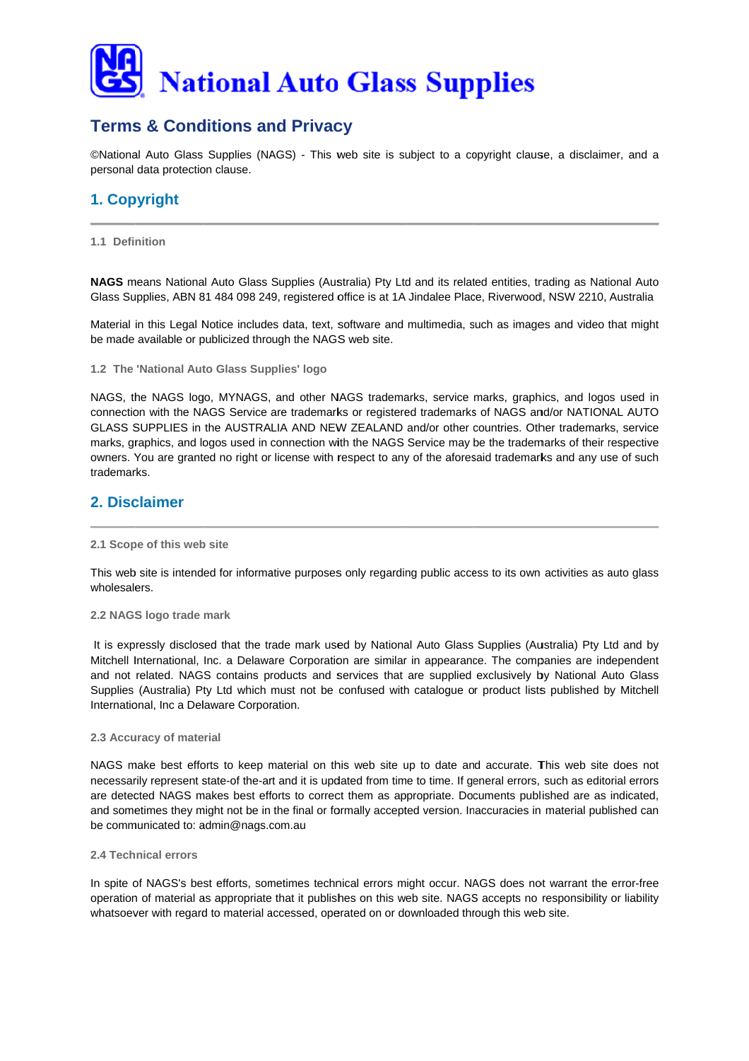

# **Terms & Conditions and Privacy**

©National Auto Glass Supplies (NAGS) - This web site is subject to a copyright clause, a disclaimer, and a personal data protection clause.

# 1. Copyright

### 1.1 Definition

NAGS means National Auto Glass Supplies (Australia) Pty Ltd and its related entities, trading as National Auto Glass Supplies, ABN 81 484 098 249, registered office is at 1A Jindalee Place, Riverwood, NSW 2210, Australia

Material in this Legal Notice includes data, text, software and multimedia, such as images and video that might be made available or publicized through the NAGS web site.

1.2 The 'National Auto Glass Supplies' logo

NAGS, the NAGS logo, MYNAGS, and other NAGS trademarks, service marks, graphics, and logos used in connection with the NAGS Service are trademarks or registered trademarks of NAGS and/or NATIONAL AUTO GLASS SUPPLIES in the AUSTRALIA AND NEW ZEALAND and/or other countries. Other trademarks, service marks, graphics, and logos used in connection with the NAGS Service may be the trademarks of their respective owners. You are granted no right or license with respect to any of the aforesaid trademarks and any use of such trademarks

## 2. Disclaimer

#### 2.1 Scope of this web site

This web site is intended for informative purposes only regarding public access to its own activities as auto glass wholesalers.

#### 2.2 NAGS logo trade mark

It is expressly disclosed that the trade mark used by National Auto Glass Supplies (Australia) Pty Ltd and by Mitchell International, Inc. a Delaware Corporation are similar in appearance. The companies are independent and not related. NAGS contains products and services that are supplied exclusively by National Auto Glass Supplies (Australia) Pty Ltd which must not be confused with catalogue or product lists published by Mitchell International, Inc a Delaware Corporation.

#### 2.3 Accuracy of material

NAGS make best efforts to keep material on this web site up to date and accurate. This web site does not necessarily represent state-of the-art and it is updated from time to time. If general errors, such as editorial errors are detected NAGS makes best efforts to correct them as appropriate. Documents published are as indicated, and sometimes they might not be in the final or formally accepted version. Inaccuracies in material published can be communicated to: admin@nags.com.au

#### 2 4 Technical errors

In spite of NAGS's best efforts, sometimes technical errors might occur. NAGS does not warrant the error-free operation of material as appropriate that it publishes on this web site. NAGS accepts no responsibility or liability whatsoever with regard to material accessed, operated on or downloaded through this web site.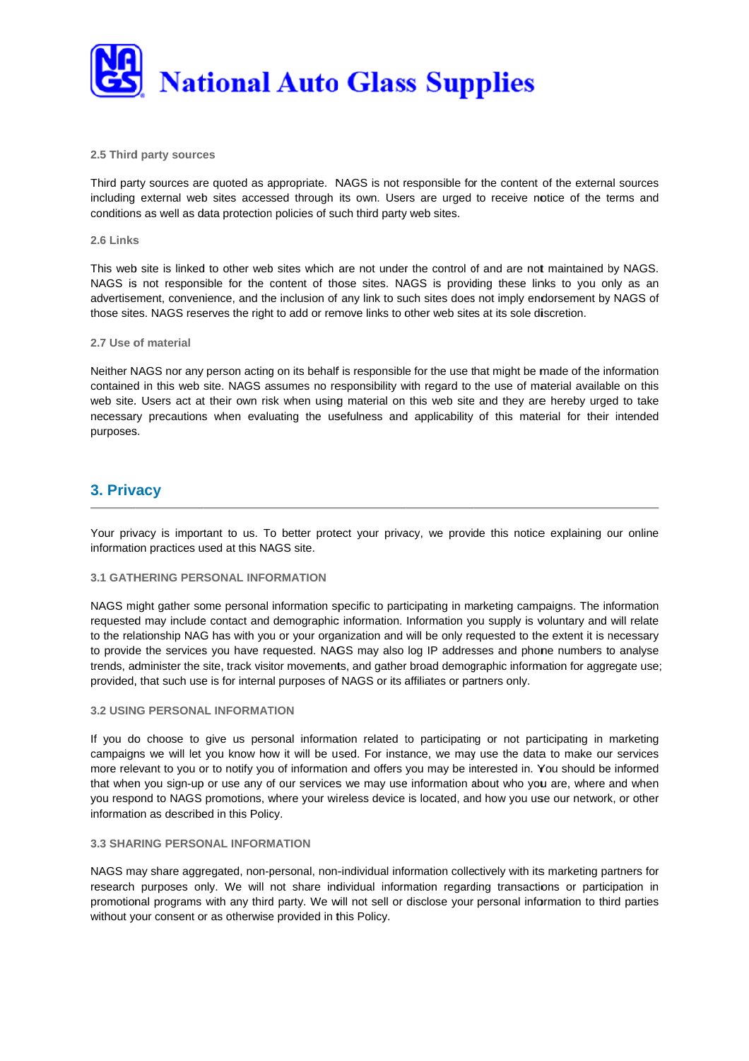

#### **2.5 Third party sources**

Third party sources are quoted as appropriate. NAGS is not responsible for the content of the external sources including external web sites accessed through its own. Users are urged to receive notice of the terms and conditions as well as data protection policies of such third party web sites.

#### **2.6 Links s**

This web site is linked to other web sites which are not under the control of and are not maintained by NAGS. NAGS is not responsible for the content of those sites. NAGS is providing these links to you only as an advertisement, convenience, and the inclusion of any link to such sites does not imply endorsement by NAGS of those sites. NAGS reserves the right to add or remove links to other web sites at its sole discretion.

#### **2.7 Use of material**

Neither NAGS nor any person acting on its behalf is responsible for the use that might be made of the information contained in this web site. NAGS assumes no responsibility with regard to the use of material available on this web site. Users act at their own risk when using material on this web site and they are hereby urged to take necessary precautions when evaluating the usefulness and applicability of this material for their intended purposes s.

# **3. Privacy**

Your privacy is important to us. To better protect your privacy, we provide this notice explaining our online information practices used at this NAGS site.

#### **3.1 GATHERING PERSONAL INFORMATION**

NAGS might gather some personal information specific to participating in marketing campaigns. The information requested may include contact and demographic information. Information you supply is voluntary and will relate to the relationship NAG has with you or your organization and will be only requested to the extent it is necessary to provide the services you have requested. NAGS may also log IP addresses and phone numbers to analyse trends, administer the site, track visitor movements, and gather broad demographic information for aggregate use; provided, that such use is for internal purposes of NAGS or its affiliates or partners only.

#### **3.2 USING PERSONAL INFORMATION**

If you do choose to give us personal information related to participating or not participating in marketing campaigns we will let you know how it will be used. For instance, we may use the data to make our services more relevant to you or to notify you of information and offers you may be interested in. You should be informed that when you sign-up or use any of our services we may use information about who you are, where and when you respond to NAGS promotions, where your wireless device is located, and how you use our network, or other information as described in this Policy.

#### **3.3 SHARING PERSONAL INFORMATION**

NAGS may share aggregated, non-personal, non-individual information collectively with its marketing partners for research purposes only. We will not share individual information regarding transactions or participation in promotional programs with any third party. We will not sell or disclose your personal information to third parties without your consent or as otherwise provided in this Policy.